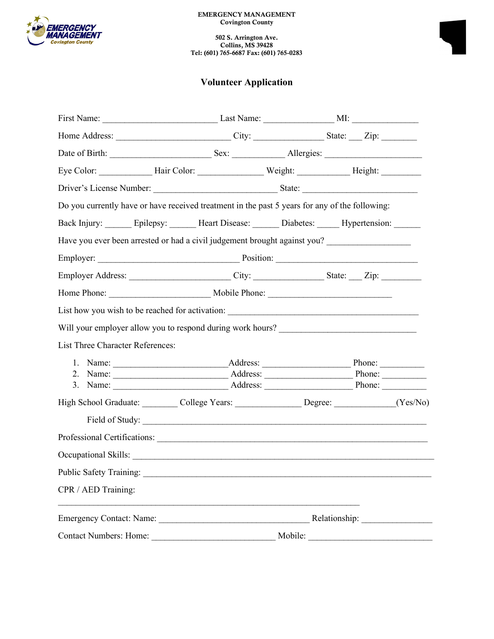

502 S. Arrington Ave. Collins, MS 39428 Tel: (601) 765-6687 Fax: (601) 765-0283

## **Volunteer Application**

|                                                                                                      |                              | Do you currently have or have received treatment in the past 5 years for any of the following:      |         |               |  |  |  |
|------------------------------------------------------------------------------------------------------|------------------------------|-----------------------------------------------------------------------------------------------------|---------|---------------|--|--|--|
|                                                                                                      |                              | Back Injury: _______ Epilepsy: _______ Heart Disease: _______ Diabetes: ______ Hypertension: ______ |         |               |  |  |  |
|                                                                                                      |                              | Have you ever been arrested or had a civil judgement brought against you?                           |         |               |  |  |  |
|                                                                                                      |                              |                                                                                                     |         |               |  |  |  |
| Employer Address: _________________________City: ____________________State: ____ Zip: ______________ |                              |                                                                                                     |         |               |  |  |  |
|                                                                                                      |                              |                                                                                                     |         |               |  |  |  |
|                                                                                                      |                              |                                                                                                     |         |               |  |  |  |
| Will your employer allow you to respond during work hours? ______________________                    |                              |                                                                                                     |         |               |  |  |  |
| List Three Character References:                                                                     |                              |                                                                                                     |         |               |  |  |  |
|                                                                                                      |                              |                                                                                                     |         |               |  |  |  |
|                                                                                                      |                              |                                                                                                     |         |               |  |  |  |
|                                                                                                      |                              |                                                                                                     |         |               |  |  |  |
| High School Graduate: College Years: Degree: Cognetic Mes/No)                                        |                              |                                                                                                     |         |               |  |  |  |
|                                                                                                      |                              |                                                                                                     |         |               |  |  |  |
|                                                                                                      |                              |                                                                                                     |         |               |  |  |  |
|                                                                                                      | Professional Certifications: |                                                                                                     |         |               |  |  |  |
|                                                                                                      | Public Safety Training:      |                                                                                                     |         |               |  |  |  |
|                                                                                                      | CPR / AED Training:          |                                                                                                     |         |               |  |  |  |
|                                                                                                      |                              |                                                                                                     |         | Relationship: |  |  |  |
| <b>Contact Numbers: Home:</b>                                                                        |                              |                                                                                                     | Mobile: |               |  |  |  |